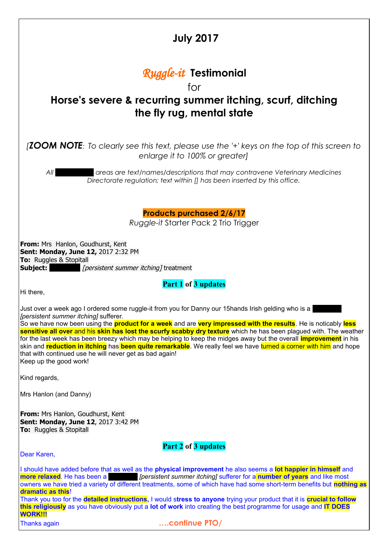| <b>July 2017</b>                                                                                                                                                                                                                                                                                                                                                                                                                                                                                                                                                                                                                                                                                                                          |
|-------------------------------------------------------------------------------------------------------------------------------------------------------------------------------------------------------------------------------------------------------------------------------------------------------------------------------------------------------------------------------------------------------------------------------------------------------------------------------------------------------------------------------------------------------------------------------------------------------------------------------------------------------------------------------------------------------------------------------------------|
| <b>Ruggle-it Testimonial</b><br>for<br>Horse's severe & recurring summer itching, scurf, ditching<br>the fly rug, mental state                                                                                                                                                                                                                                                                                                                                                                                                                                                                                                                                                                                                            |
| <b>[ZOOM NOTE</b> : To clearly see this text, please use the '+' keys on the top of this screen to<br>enlarge it to 100% or greater]                                                                                                                                                                                                                                                                                                                                                                                                                                                                                                                                                                                                      |
| All<br>areas are text/names/descriptions that may contravene Veterinary Medicines<br>Directorate regulation; text within [] has been inserted by this office.                                                                                                                                                                                                                                                                                                                                                                                                                                                                                                                                                                             |
| <b>Products purchased 2/6/17</b><br>Ruggle-it Starter Pack 2 Trio Trigger                                                                                                                                                                                                                                                                                                                                                                                                                                                                                                                                                                                                                                                                 |
| <b>From:</b> Mrs Hanlon, Goudhurst, Kent<br>Sent: Monday, June 12, 2017 2:32 PM<br><b>To:</b> Ruggles & Stopitall<br>[persistent summer itching] treatment<br>Subject:                                                                                                                                                                                                                                                                                                                                                                                                                                                                                                                                                                    |
| Part 1 of 3 updates<br>Hi there,                                                                                                                                                                                                                                                                                                                                                                                                                                                                                                                                                                                                                                                                                                          |
| Just over a week ago I ordered some ruggle-it from you for Danny our 15hands Irish gelding who is a<br>[persistent summer itching] sufferer.<br>So we have now been using the <b>product for a week</b> and are <b>very impressed with the results</b> . He is noticably less<br>sensitive all over and his skin has lost the scurfy scabby dry texture which he has been plagued with. The weather<br>for the last week has been breezy which may be helping to keep the midges away but the overall <b>improvement</b> in his<br>skin and reduction in itching has been quite remarkable. We really feel we have turned a corner with him and hope<br>that with continued use he will never get as bad again!<br>Keep up the good work! |
| Kind regards,                                                                                                                                                                                                                                                                                                                                                                                                                                                                                                                                                                                                                                                                                                                             |
| Mrs Hanlon (and Danny)                                                                                                                                                                                                                                                                                                                                                                                                                                                                                                                                                                                                                                                                                                                    |
| <b>From:</b> Mrs Hanlon, Goudhurst, Kent<br>Sent: Monday, June 12, 2017 3:42 PM<br><b>To:</b> Ruggles & Stopitall                                                                                                                                                                                                                                                                                                                                                                                                                                                                                                                                                                                                                         |
| Part 2 of 3 updates<br>Dear Karen,                                                                                                                                                                                                                                                                                                                                                                                                                                                                                                                                                                                                                                                                                                        |
| I should have added before that as well as the physical improvement he also seems a lot happier in himself and<br><i>Ipersistent summer itching]</i> sufferer for a <b>number of years</b> and like most<br>more relaxed. He has been a<br>owners we have tried a variety of different treatments, some of which have had some short-term benefits but nothing as<br>dramatic as this!<br>Thank you too for the detailed instructions, I would stress to anyone trying your product that it is crucial to follow<br>this religiously as you have obviously put a lot of work into creating the best programme for usage and IT DOES<br><b>WORK!!!</b><br>continue PTO/<br><b>Thanks again</b>                                             |
|                                                                                                                                                                                                                                                                                                                                                                                                                                                                                                                                                                                                                                                                                                                                           |